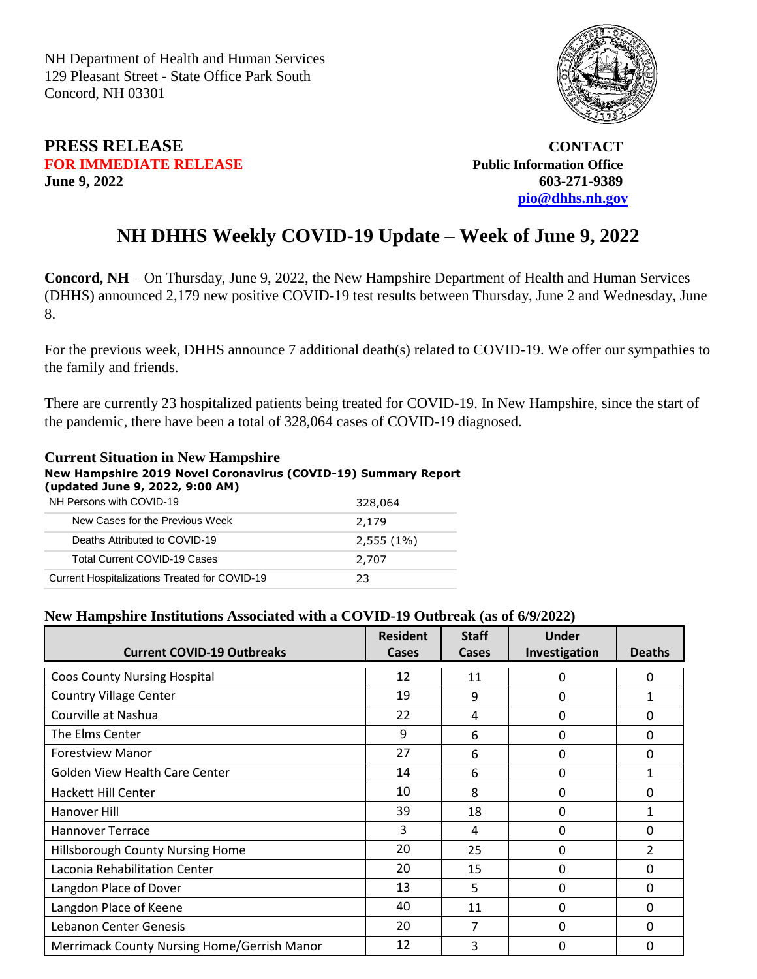NH Department of Health and Human Services 129 Pleasant Street - State Office Park South Concord, NH 03301

# **PRESS RELEASE CONTACT FOR IMMEDIATE RELEASE Public Information Office June 9, 2022 603-271-9389**

 **[pio@dhhs.nh.gov](file:///C:/Users/laura.m.montenegro/Desktop/COVID%2019%20Daily%20Press%20Releases/pio@dhhs.nh.gov)**

# **NH DHHS Weekly COVID-19 Update – Week of June 9, 2022**

**Concord, NH** – On Thursday, June 9, 2022, the New Hampshire Department of Health and Human Services (DHHS) announced 2,179 new positive COVID-19 test results between Thursday, June 2 and Wednesday, June 8.

For the previous week, DHHS announce 7 additional death(s) related to COVID-19. We offer our sympathies to the family and friends.

There are currently 23 hospitalized patients being treated for COVID-19. In New Hampshire, since the start of the pandemic, there have been a total of 328,064 cases of COVID-19 diagnosed.

### **Current Situation in New Hampshire New Hampshire 2019 Novel Coronavirus (COVID-19) Summary Report (updated June 9, 2022, 9:00 AM)**

| NH Persons with COVID-19                      | 328,064      |
|-----------------------------------------------|--------------|
| New Cases for the Previous Week               | 2,179        |
| Deaths Attributed to COVID-19                 | $2,555(1\%)$ |
| <b>Total Current COVID-19 Cases</b>           | 2,707        |
| Current Hospitalizations Treated for COVID-19 | 23           |

## **New Hampshire Institutions Associated with a COVID-19 Outbreak (as of 6/9/2022)**

| <b>Current COVID-19 Outbreaks</b>                  | <b>Resident</b><br>Cases | <b>Staff</b><br>Cases | Under<br>Investigation | <b>Deaths</b>  |
|----------------------------------------------------|--------------------------|-----------------------|------------------------|----------------|
| <b>Coos County Nursing Hospital</b>                | 12                       | 11                    | 0                      | 0              |
| <b>Country Village Center</b>                      | 19                       | 9                     | $\mathbf{0}$           | 1              |
| Courville at Nashua                                | 22                       | 4                     | 0                      | 0              |
| The Elms Center                                    | 9                        | 6                     | 0                      | $\Omega$       |
| <b>Forestview Manor</b>                            | 27                       | 6                     | 0                      | $\Omega$       |
| <b>Golden View Health Care Center</b>              | 14                       | 6                     | 0                      | 1              |
| Hackett Hill Center                                | 10                       | 8                     | $\mathbf{0}$           | $\mathbf{0}$   |
| Hanover Hill                                       | 39                       | 18                    | 0                      | 1              |
| <b>Hannover Terrace</b>                            | 3                        | 4                     | 0                      | $\Omega$       |
| Hillsborough County Nursing Home                   | 20                       | 25                    | $\mathbf{0}$           | $\mathfrak{p}$ |
| Laconia Rehabilitation Center                      | 20                       | 15                    | 0                      | $\mathbf{0}$   |
| Langdon Place of Dover                             | 13                       | 5                     | $\mathbf{0}$           | 0              |
| Langdon Place of Keene                             | 40                       | 11                    | $\mathbf{0}$           | $\Omega$       |
| Lebanon Center Genesis                             | 20                       | 7                     | 0                      | $\Omega$       |
| <b>Merrimack County Nursing Home/Gerrish Manor</b> | 12                       | 3                     | 0                      | $\Omega$       |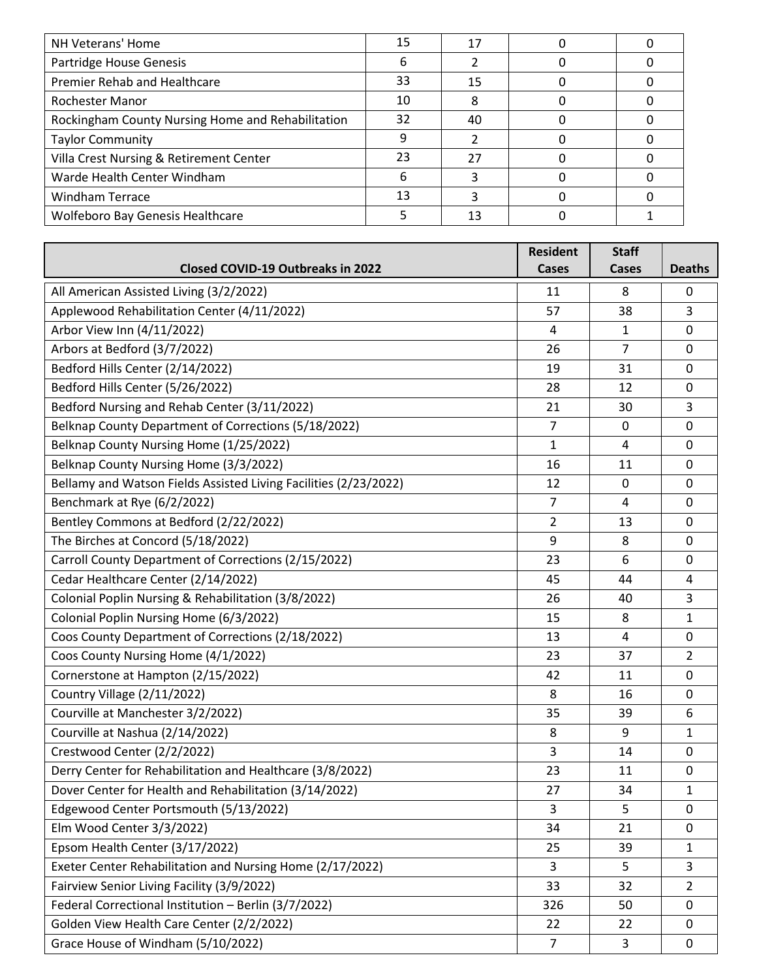| NH Veterans' Home                                 | 15 | 17 |  |
|---------------------------------------------------|----|----|--|
| Partridge House Genesis                           | 6  |    |  |
| Premier Rehab and Healthcare                      | 33 | 15 |  |
| Rochester Manor                                   | 10 | 8  |  |
| Rockingham County Nursing Home and Rehabilitation | 32 | 40 |  |
| <b>Taylor Community</b>                           |    |    |  |
| Villa Crest Nursing & Retirement Center           | 23 | 27 |  |
| Warde Health Center Windham                       | 6  |    |  |
| <b>Windham Terrace</b>                            | 13 |    |  |
| <b>Wolfeboro Bay Genesis Healthcare</b>           |    | 13 |  |

|                                                                  | <b>Resident</b> | <b>Staff</b>   |                |
|------------------------------------------------------------------|-----------------|----------------|----------------|
| <b>Closed COVID-19 Outbreaks in 2022</b>                         | <b>Cases</b>    | <b>Cases</b>   | <b>Deaths</b>  |
| All American Assisted Living (3/2/2022)                          | 11              | 8              | 0              |
| Applewood Rehabilitation Center (4/11/2022)                      | 57              | 38             | 3              |
| Arbor View Inn (4/11/2022)                                       | 4               | 1              | $\mathbf 0$    |
| Arbors at Bedford (3/7/2022)                                     | 26              | $\overline{7}$ | 0              |
| Bedford Hills Center (2/14/2022)                                 | 19              | 31             | 0              |
| Bedford Hills Center (5/26/2022)                                 | 28              | 12             | 0              |
| Bedford Nursing and Rehab Center (3/11/2022)                     | 21              | 30             | 3              |
| Belknap County Department of Corrections (5/18/2022)             | $\overline{7}$  | 0              | 0              |
| Belknap County Nursing Home (1/25/2022)                          | 1               | 4              | 0              |
| Belknap County Nursing Home (3/3/2022)                           | 16              | 11             | $\mathbf 0$    |
| Bellamy and Watson Fields Assisted Living Facilities (2/23/2022) | 12              | 0              | $\mathbf 0$    |
| Benchmark at Rye (6/2/2022)                                      | 7               | 4              | 0              |
| Bentley Commons at Bedford (2/22/2022)                           | $\overline{2}$  | 13             | 0              |
| The Birches at Concord (5/18/2022)                               | 9               | 8              | 0              |
| Carroll County Department of Corrections (2/15/2022)             | 23              | 6              | 0              |
| Cedar Healthcare Center (2/14/2022)                              | 45              | 44             | $\overline{4}$ |
| Colonial Poplin Nursing & Rehabilitation (3/8/2022)              | 26              | 40             | 3              |
| Colonial Poplin Nursing Home (6/3/2022)                          | 15              | 8              | 1              |
| Coos County Department of Corrections (2/18/2022)                | 13              | 4              | 0              |
| Coos County Nursing Home (4/1/2022)                              | 23              | 37             | 2              |
| Cornerstone at Hampton (2/15/2022)                               | 42              | 11             | 0              |
| Country Village (2/11/2022)                                      | 8               | 16             | $\mathbf 0$    |
| Courville at Manchester 3/2/2022)                                | 35              | 39             | 6              |
| Courville at Nashua (2/14/2022)                                  | 8               | 9              | 1              |
| Crestwood Center (2/2/2022)                                      | 3               | 14             | 0              |
| Derry Center for Rehabilitation and Healthcare (3/8/2022)        | 23              | 11             | 0              |
| Dover Center for Health and Rehabilitation (3/14/2022)           | 27              | 34             | $\mathbf{1}$   |
| Edgewood Center Portsmouth (5/13/2022)                           | 3               | 5              | 0              |
| Elm Wood Center 3/3/2022)                                        | 34              | 21             | 0              |
| Epsom Health Center (3/17/2022)                                  | 25              | 39             | 1              |
| Exeter Center Rehabilitation and Nursing Home (2/17/2022)        | 3               | 5              | 3              |
| Fairview Senior Living Facility (3/9/2022)                       | 33              | 32             | 2              |
| Federal Correctional Institution - Berlin (3/7/2022)             | 326             | 50             | 0              |
| Golden View Health Care Center (2/2/2022)                        | 22              | 22             | $\mathbf 0$    |
| Grace House of Windham (5/10/2022)                               | $\overline{7}$  | 3              | $\mathbf 0$    |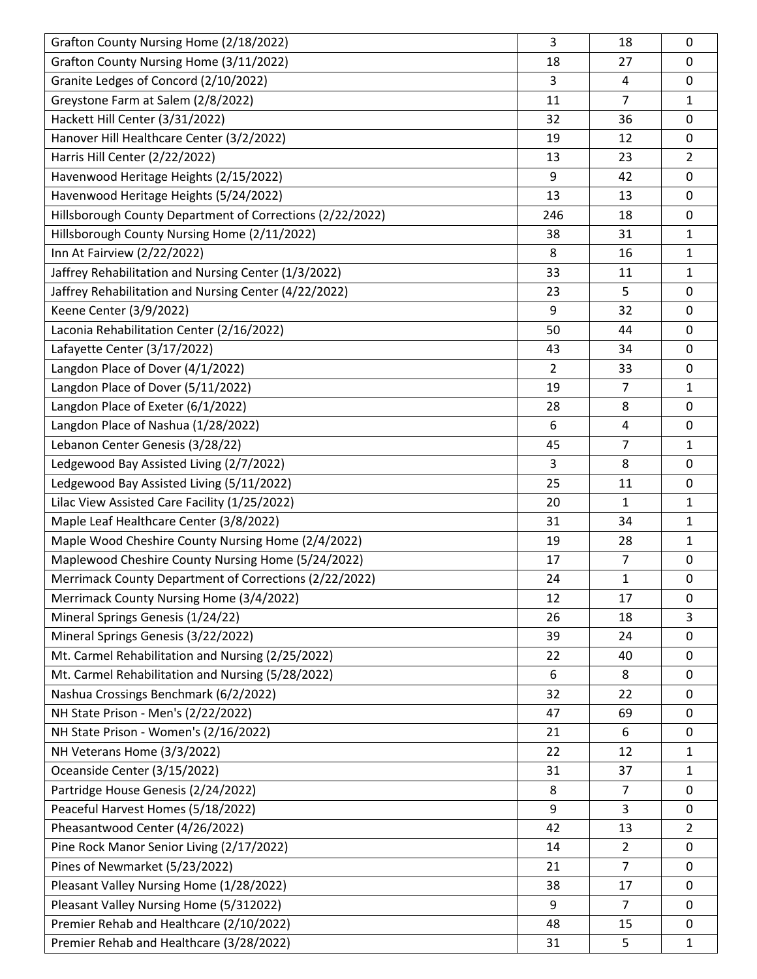| Grafton County Nursing Home (2/18/2022)                   | 3              | 18             | 0              |
|-----------------------------------------------------------|----------------|----------------|----------------|
| Grafton County Nursing Home (3/11/2022)                   | 18             | 27             | 0              |
| Granite Ledges of Concord (2/10/2022)                     | 3              | 4              | 0              |
| Greystone Farm at Salem (2/8/2022)                        | 11             | 7              | 1              |
| Hackett Hill Center (3/31/2022)                           | 32             | 36             | 0              |
| Hanover Hill Healthcare Center (3/2/2022)                 | 19             | 12             | 0              |
| Harris Hill Center (2/22/2022)                            | 13             | 23             | $\overline{2}$ |
| Havenwood Heritage Heights (2/15/2022)                    | 9              | 42             | 0              |
| Havenwood Heritage Heights (5/24/2022)                    | 13             | 13             | 0              |
| Hillsborough County Department of Corrections (2/22/2022) | 246            | 18             | 0              |
| Hillsborough County Nursing Home (2/11/2022)              | 38             | 31             | $\mathbf{1}$   |
| Inn At Fairview (2/22/2022)                               | 8              | 16             | $\mathbf{1}$   |
| Jaffrey Rehabilitation and Nursing Center (1/3/2022)      | 33             | 11             | 1              |
| Jaffrey Rehabilitation and Nursing Center (4/22/2022)     | 23             | 5              | 0              |
| Keene Center (3/9/2022)                                   | 9              | 32             | 0              |
| Laconia Rehabilitation Center (2/16/2022)                 | 50             | 44             | 0              |
| Lafayette Center (3/17/2022)                              | 43             | 34             | 0              |
| Langdon Place of Dover (4/1/2022)                         | $\overline{2}$ | 33             | 0              |
| Langdon Place of Dover (5/11/2022)                        | 19             | 7              | $\mathbf{1}$   |
| Langdon Place of Exeter (6/1/2022)                        | 28             | 8              | 0              |
| Langdon Place of Nashua (1/28/2022)                       | 6              | 4              | 0              |
| Lebanon Center Genesis (3/28/22)                          | 45             | 7              | $\mathbf{1}$   |
| Ledgewood Bay Assisted Living (2/7/2022)                  | 3              | 8              | 0              |
| Ledgewood Bay Assisted Living (5/11/2022)                 | 25             | 11             | 0              |
| Lilac View Assisted Care Facility (1/25/2022)             | 20             | 1              | 1              |
| Maple Leaf Healthcare Center (3/8/2022)                   | 31             | 34             | $\mathbf{1}$   |
| Maple Wood Cheshire County Nursing Home (2/4/2022)        | 19             | 28             | $\mathbf{1}$   |
| Maplewood Cheshire County Nursing Home (5/24/2022)        | 17             | 7              | 0              |
| Merrimack County Department of Corrections (2/22/2022)    | 24             | $\mathbf{1}$   | 0              |
| Merrimack County Nursing Home (3/4/2022)                  | 12             | 17             | 0              |
| Mineral Springs Genesis (1/24/22)                         | 26             | 18             | 3              |
| Mineral Springs Genesis (3/22/2022)                       | 39             | 24             | 0              |
| Mt. Carmel Rehabilitation and Nursing (2/25/2022)         | 22             | 40             | 0              |
| Mt. Carmel Rehabilitation and Nursing (5/28/2022)         | 6              | 8              | 0              |
| Nashua Crossings Benchmark (6/2/2022)                     | 32             | 22             | 0              |
| NH State Prison - Men's (2/22/2022)                       | 47             | 69             | 0              |
| NH State Prison - Women's (2/16/2022)                     | 21             | 6              | 0              |
| NH Veterans Home (3/3/2022)                               | 22             | 12             | $\mathbf{1}$   |
| Oceanside Center (3/15/2022)                              | 31             | 37             | $\mathbf{1}$   |
| Partridge House Genesis (2/24/2022)                       | 8              | 7              | 0              |
| Peaceful Harvest Homes (5/18/2022)                        | 9              | 3              | 0              |
| Pheasantwood Center (4/26/2022)                           | 42             | 13             | $\overline{2}$ |
| Pine Rock Manor Senior Living (2/17/2022)                 | 14             | $\overline{2}$ | 0              |
| Pines of Newmarket (5/23/2022)                            | 21             | $\overline{7}$ | 0              |
| Pleasant Valley Nursing Home (1/28/2022)                  | 38             | 17             | 0              |
| Pleasant Valley Nursing Home (5/312022)                   | 9              | $\overline{7}$ | 0              |
| Premier Rehab and Healthcare (2/10/2022)                  | 48             | 15             | 0              |
| Premier Rehab and Healthcare (3/28/2022)                  | 31             | 5              | $\mathbf{1}$   |